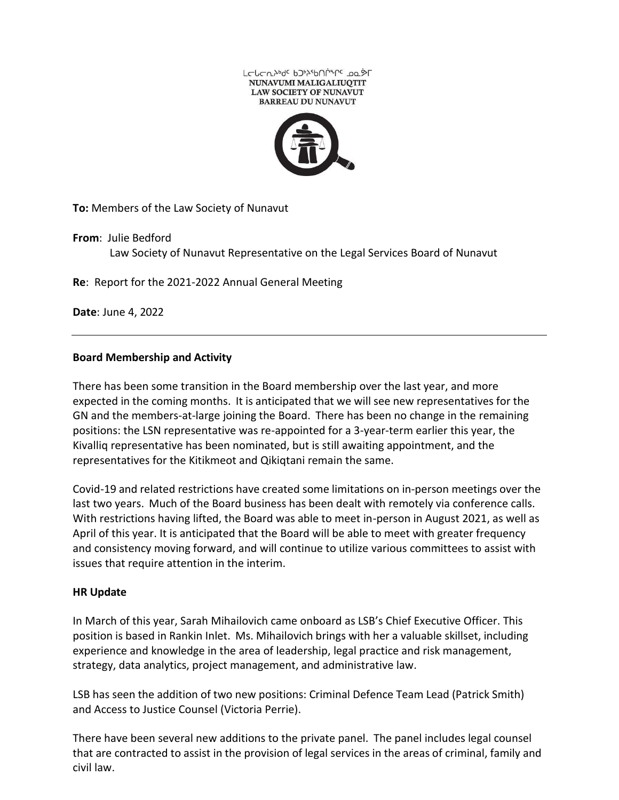

**To:** Members of the Law Society of Nunavut

**From**: Julie Bedford Law Society of Nunavut Representative on the Legal Services Board of Nunavut

**Re**: Report for the 2021-2022 Annual General Meeting

**Date**: June 4, 2022

## **Board Membership and Activity**

There has been some transition in the Board membership over the last year, and more expected in the coming months. It is anticipated that we will see new representatives for the GN and the members-at-large joining the Board. There has been no change in the remaining positions: the LSN representative was re-appointed for a 3-year-term earlier this year, the Kivalliq representative has been nominated, but is still awaiting appointment, and the representatives for the Kitikmeot and Qikiqtani remain the same.

Covid-19 and related restrictions have created some limitations on in-person meetings over the last two years. Much of the Board business has been dealt with remotely via conference calls. With restrictions having lifted, the Board was able to meet in-person in August 2021, as well as April of this year. It is anticipated that the Board will be able to meet with greater frequency and consistency moving forward, and will continue to utilize various committees to assist with issues that require attention in the interim.

## **HR Update**

In March of this year, Sarah Mihailovich came onboard as LSB's Chief Executive Officer. This position is based in Rankin Inlet. Ms. Mihailovich brings with her a valuable skillset, including experience and knowledge in the area of leadership, legal practice and risk management, strategy, data analytics, project management, and administrative law.

LSB has seen the addition of two new positions: Criminal Defence Team Lead (Patrick Smith) and Access to Justice Counsel (Victoria Perrie).

There have been several new additions to the private panel. The panel includes legal counsel that are contracted to assist in the provision of legal services in the areas of criminal, family and civil law.